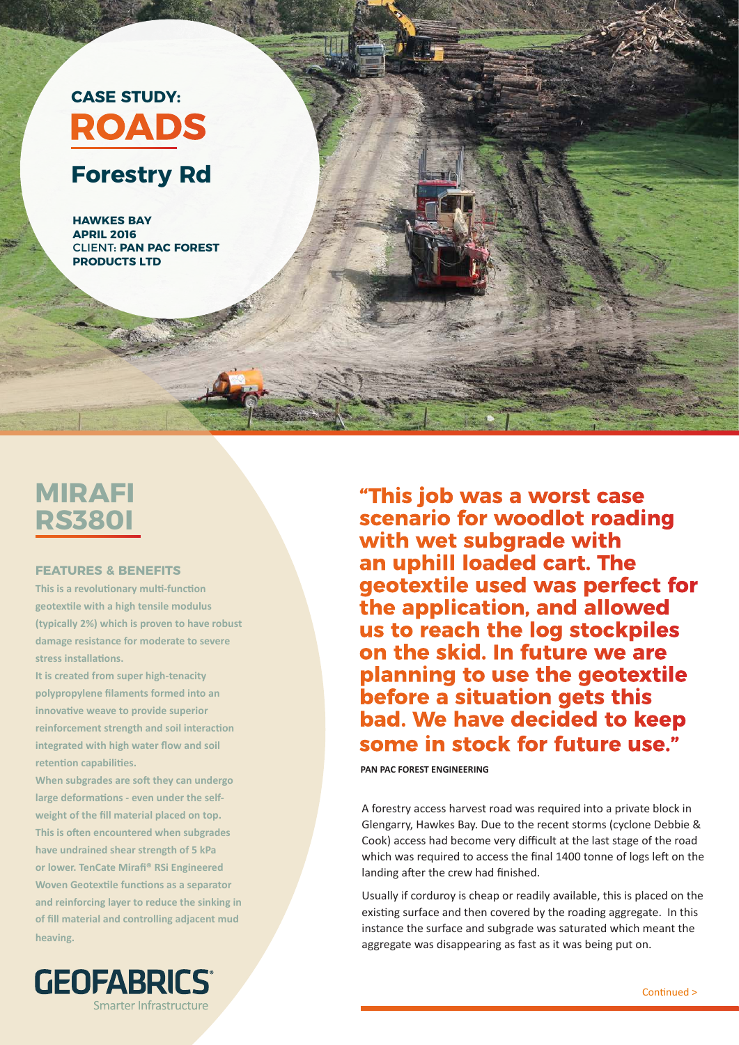

## **MIRAFI RS380I**

## **FEATURES & BENEFITS**

**This is a revolutionary multi-function geotextile with a high tensile modulus (typically 2%) which is proven to have robust damage resistance for moderate to severe stress installations.** 

**It is created from super high-tenacity polypropylene filaments formed into an innovative weave to provide superior reinforcement strength and soil interaction integrated with high water flow and soil retention capabilities.**

**When subgrades are soft they can undergo large deformations - even under the selfweight of the fill material placed on top. This is often encountered when subgrades have undrained shear strength of 5 kPa or lower. TenCate Mirafi® RSi Engineered Woven Geotextile functions as a separator and reinforcing layer to reduce the sinking in of fill material and controlling adjacent mud heaving.**



**"This job was a worst case scenario for woodlot roading with wet subgrade with an uphill loaded cart. The geotextile used was perfect for the application, and allowed us to reach the log stockpiles on the skid. In future we are planning to use the geotextile before a situation gets this bad. We have decided to keep some in stock for future use."** 

**PAN PAC FOREST ENGINEERING** 

A forestry access harvest road was required into a private block in Glengarry, Hawkes Bay. Due to the recent storms (cyclone Debbie & Cook) access had become very difficult at the last stage of the road which was required to access the final 1400 tonne of logs left on the landing after the crew had finished.

Usually if corduroy is cheap or readily available, this is placed on the existing surface and then covered by the roading aggregate. In this instance the surface and subgrade was saturated which meant the aggregate was disappearing as fast as it was being put on.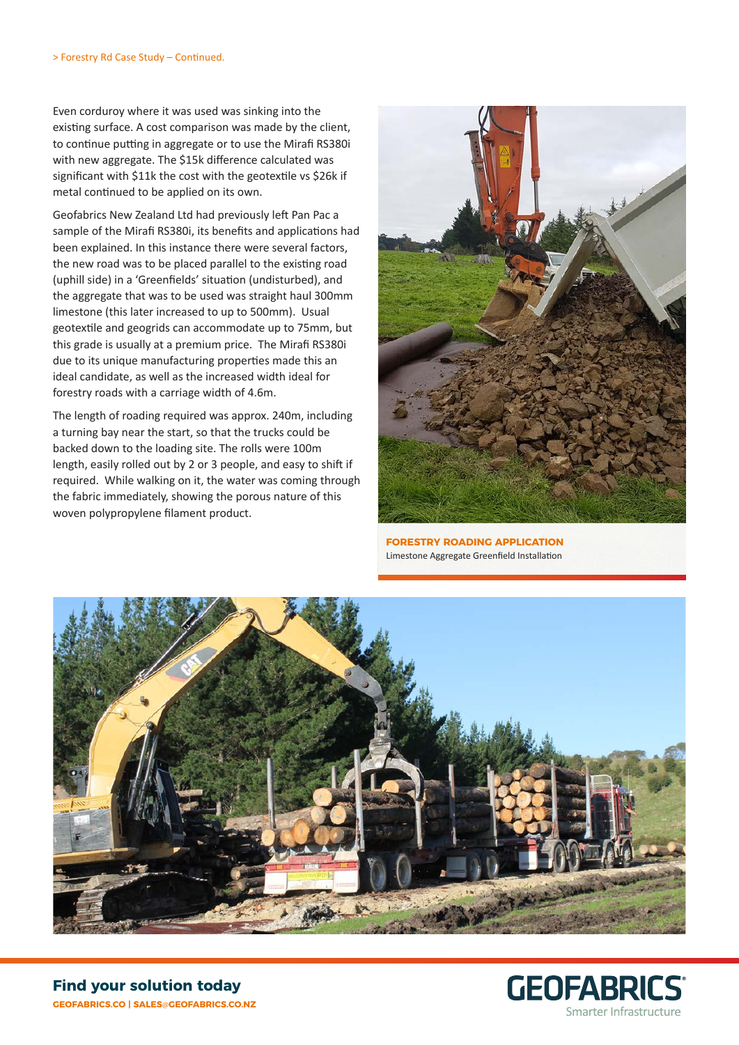Even corduroy where it was used was sinking into the existing surface. A cost comparison was made by the client, to continue putting in aggregate or to use the Mirafi RS380i with new aggregate. The \$15k difference calculated was significant with \$11k the cost with the geotextile vs \$26k if metal continued to be applied on its own.

Geofabrics New Zealand Ltd had previously left Pan Pac a sample of the Mirafi RS380i, its benefits and applications had been explained. In this instance there were several factors, the new road was to be placed parallel to the existing road (uphill side) in a 'Greenfields' situation (undisturbed), and the aggregate that was to be used was straight haul 300mm limestone (this later increased to up to 500mm). Usual geotextile and geogrids can accommodate up to 75mm, but this grade is usually at a premium price. The Mirafi RS380i due to its unique manufacturing properties made this an ideal candidate, as well as the increased width ideal for forestry roads with a carriage width of 4.6m.

The length of roading required was approx. 240m, including a turning bay near the start, so that the trucks could be backed down to the loading site. The rolls were 100m length, easily rolled out by 2 or 3 people, and easy to shift if required. While walking on it, the water was coming through the fabric immediately, showing the porous nature of this woven polypropylene filament product.



**FORESTRY ROADING APPLICATION** Limestone Aggregate Greenfield Installation



**GEOFABRICS®** Smarter Infrastructure